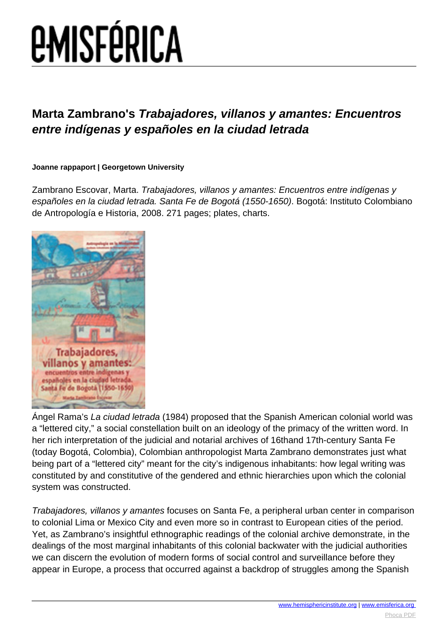# **EMISFÉRICA**

### **Marta Zambrano's Trabajadores, villanos y amantes: Encuentros entre indígenas y españoles en la ciudad letrada**

#### **Joanne rappaport | Georgetown University**

Zambrano Escovar, Marta. Trabajadores, villanos y amantes: Encuentros entre indígenas y españoles en la ciudad letrada. Santa Fe de Bogotá (1550-1650). Bogotá: Instituto Colombiano de Antropología e Historia, 2008. 271 pages; plates, charts.



Ángel Rama's La ciudad letrada (1984) proposed that the Spanish American colonial world was a "lettered city," a social constellation built on an ideology of the primacy of the written word. In her rich interpretation of the judicial and notarial archives of 16thand 17th-century Santa Fe (today Bogotá, Colombia), Colombian anthropologist Marta Zambrano demonstrates just what being part of a "lettered city" meant for the city's indigenous inhabitants: how legal writing was constituted by and constitutive of the gendered and ethnic hierarchies upon which the colonial system was constructed.

Trabajadores, villanos y amantes focuses on Santa Fe, a peripheral urban center in comparison to colonial Lima or Mexico City and even more so in contrast to European cities of the period. Yet, as Zambrano's insightful ethnographic readings of the colonial archive demonstrate, in the dealings of the most marginal inhabitants of this colonial backwater with the judicial authorities we can discern the evolution of modern forms of social control and surveillance before they appear in Europe, a process that occurred against a backdrop of struggles among the Spanish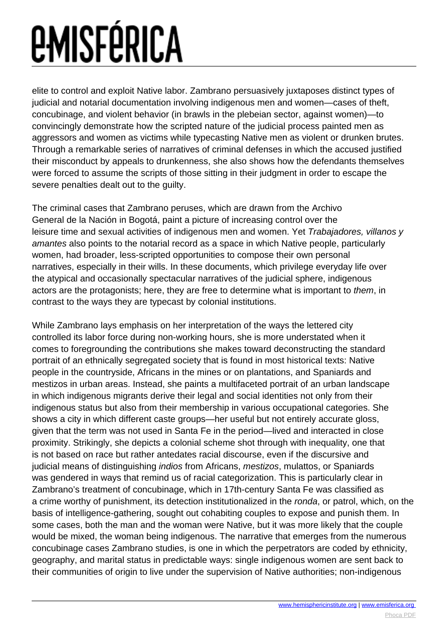## *<u>EMISFÉRICA</u>*

elite to control and exploit Native labor. Zambrano persuasively juxtaposes distinct types of judicial and notarial documentation involving indigenous men and women—cases of theft, concubinage, and violent behavior (in brawls in the plebeian sector, against women)—to convincingly demonstrate how the scripted nature of the judicial process painted men as aggressors and women as victims while typecasting Native men as violent or drunken brutes. Through a remarkable series of narratives of criminal defenses in which the accused justified their misconduct by appeals to drunkenness, she also shows how the defendants themselves were forced to assume the scripts of those sitting in their judgment in order to escape the severe penalties dealt out to the guilty.

The criminal cases that Zambrano peruses, which are drawn from the Archivo General de la Nación in Bogotá, paint a picture of increasing control over the leisure time and sexual activities of indigenous men and women. Yet Trabajadores, villanos y amantes also points to the notarial record as a space in which Native people, particularly women, had broader, less-scripted opportunities to compose their own personal narratives, especially in their wills. In these documents, which privilege everyday life over the atypical and occasionally spectacular narratives of the judicial sphere, indigenous actors are the protagonists; here, they are free to determine what is important to them, in contrast to the ways they are typecast by colonial institutions.

While Zambrano lays emphasis on her interpretation of the ways the lettered city controlled its labor force during non-working hours, she is more understated when it comes to foregrounding the contributions she makes toward deconstructing the standard portrait of an ethnically segregated society that is found in most historical texts: Native people in the countryside, Africans in the mines or on plantations, and Spaniards and mestizos in urban areas. Instead, she paints a multifaceted portrait of an urban landscape in which indigenous migrants derive their legal and social identities not only from their indigenous status but also from their membership in various occupational categories. She shows a city in which different caste groups—her useful but not entirely accurate gloss, given that the term was not used in Santa Fe in the period—lived and interacted in close proximity. Strikingly, she depicts a colonial scheme shot through with inequality, one that is not based on race but rather antedates racial discourse, even if the discursive and judicial means of distinguishing *indios* from Africans, *mestizos*, mulattos, or Spaniards was gendered in ways that remind us of racial categorization. This is particularly clear in Zambrano's treatment of concubinage, which in 17th-century Santa Fe was classified as a crime worthy of punishment, its detection institutionalized in the ronda, or patrol, which, on the basis of intelligence-gathering, sought out cohabiting couples to expose and punish them. In some cases, both the man and the woman were Native, but it was more likely that the couple would be mixed, the woman being indigenous. The narrative that emerges from the numerous concubinage cases Zambrano studies, is one in which the perpetrators are coded by ethnicity, geography, and marital status in predictable ways: single indigenous women are sent back to their communities of origin to live under the supervision of Native authorities; non-indigenous